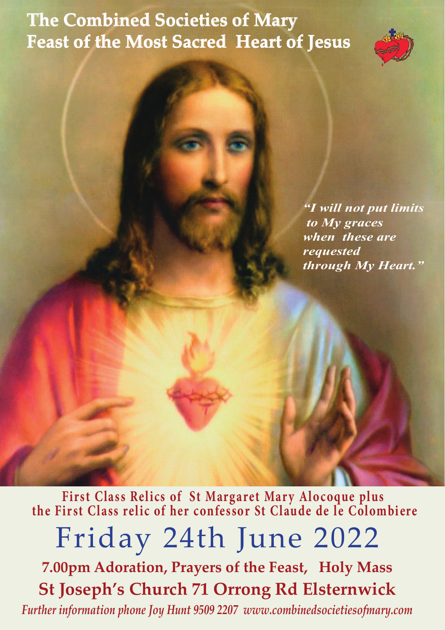## **The Combined Societies of Mary Feast of the Most Sacred Heart of Jesus**



*"I will not put limits to My graces when these are requested through My Heart."*

Friday 24th June 2022 **7.00pm Adoration, Prayers of the Feast, Holy Mass St Joseph's Church 71 Orrong Rd Elsternwick** *Further information phone Joy Hunt 9509 2207 www.combinedsocietiesofmary.com* **First Class Relics of St Margaret Mary Alocoque plus the First Class relic of her confessor St Claude de le Colombiere**